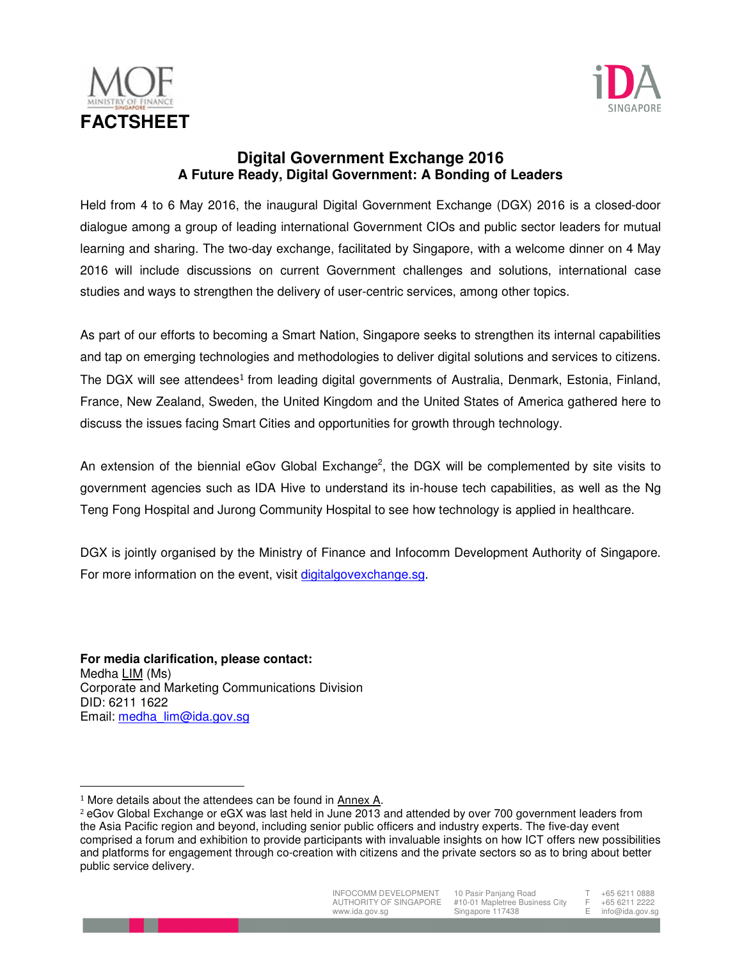



## **Digital Government Exchange 2016 A Future Ready, Digital Government: A Bonding of Leaders**

Held from 4 to 6 May 2016, the inaugural Digital Government Exchange (DGX) 2016 is a closed-door dialogue among a group of leading international Government CIOs and public sector leaders for mutual learning and sharing. The two-day exchange, facilitated by Singapore, with a welcome dinner on 4 May 2016 will include discussions on current Government challenges and solutions, international case studies and ways to strengthen the delivery of user-centric services, among other topics.

As part of our efforts to becoming a Smart Nation, Singapore seeks to strengthen its internal capabilities and tap on emerging technologies and methodologies to deliver digital solutions and services to citizens. The DGX will see attendees<sup>1</sup> from leading digital governments of Australia, Denmark, Estonia, Finland, France, New Zealand, Sweden, the United Kingdom and the United States of America gathered here to discuss the issues facing Smart Cities and opportunities for growth through technology.

An extension of the biennial eGov Global Exchange<sup>2</sup>, the DGX will be complemented by site visits to government agencies such as IDA Hive to understand its in-house tech capabilities, as well as the Ng Teng Fong Hospital and Jurong Community Hospital to see how technology is applied in healthcare.

DGX is jointly organised by the Ministry of Finance and Infocomm Development Authority of Singapore. For more information on the event, visit digitalgovexchange.sg.

**For media clarification, please contact:**  Medha LIM (Ms) Corporate and Marketing Communications Division DID: 6211 1622 Email: medha\_lim@ida.gov.sg

 $\overline{a}$ 

<sup>2</sup> eGov Global Exchange or eGX was last held in June 2013 and attended by over 700 government leaders from the Asia Pacific region and beyond, including senior public officers and industry experts. The five-day event comprised a forum and exhibition to provide participants with invaluable insights on how ICT offers new possibilities and platforms for engagement through co-creation with citizens and the private sectors so as to bring about better public service delivery.



10 Pasir Panjang Road #10-01 Mapletree Business City Singapore 117438

T +65 6211 0888  $F + 65 6211 2222$ <br> $F \t{info@ids ~20}$ info@ida.gov.sg

<sup>1</sup> More details about the attendees can be found in Annex A.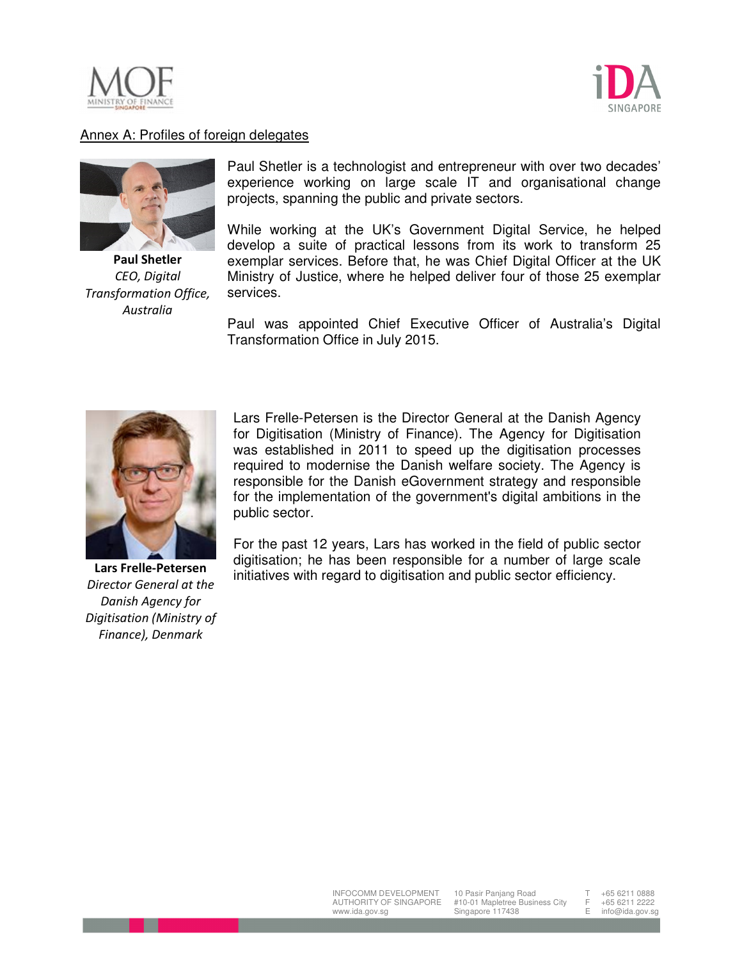



## Annex A: Profiles of foreign delegates



**Paul Shetler** *CEO, Digital Transformation Office, Australia*

Paul Shetler is a technologist and entrepreneur with over two decades' experience working on large scale IT and organisational change projects, spanning the public and private sectors.

While working at the UK's Government Digital Service, he helped develop a suite of practical lessons from its work to transform 25 exemplar services. Before that, he was Chief Digital Officer at the UK Ministry of Justice, where he helped deliver four of those 25 exemplar services.

Paul was appointed Chief Executive Officer of Australia's Digital Transformation Office in July 2015.



**Lars Frelle-Petersen**  *Director General at the Danish Agency for Digitisation (Ministry of Finance), Denmark*

Lars Frelle-Petersen is the Director General at the Danish Agency for Digitisation (Ministry of Finance). The Agency for Digitisation was established in 2011 to speed up the digitisation processes required to modernise the Danish welfare society. The Agency is responsible for the Danish eGovernment strategy and responsible for the implementation of the government's digital ambitions in the public sector.

For the past 12 years, Lars has worked in the field of public sector digitisation; he has been responsible for a number of large scale initiatives with regard to digitisation and public sector efficiency.

+65 6211 0888  $F + 65 6211 2222$ <br> $F \t{info@ids goyg}$ info@ida.gov.so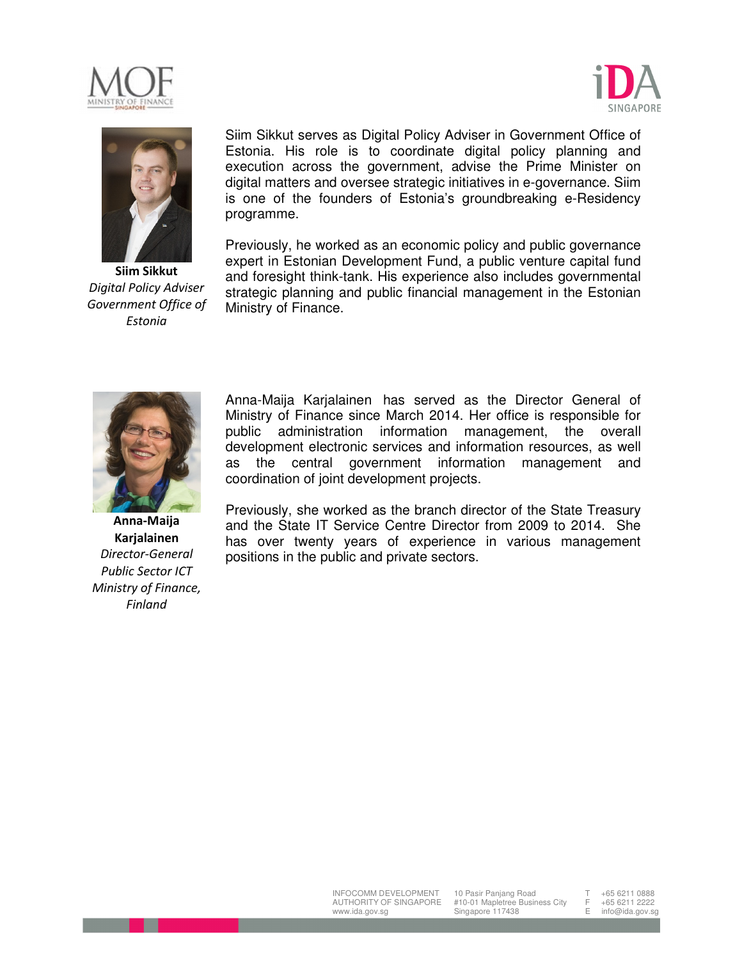





**Siim Sikkut**  *Digital Policy Adviser Government Office of Estonia*

Siim Sikkut serves as Digital Policy Adviser in Government Office of Estonia. His role is to coordinate digital policy planning and execution across the government, advise the Prime Minister on digital matters and oversee strategic initiatives in e-governance. Siim is one of the founders of Estonia's groundbreaking e-Residency programme.

Previously, he worked as an economic policy and public governance expert in Estonian Development Fund, a public venture capital fund and foresight think-tank. His experience also includes governmental strategic planning and public financial management in the Estonian Ministry of Finance.



**Anna-Maija Karjalainen** *Director-General Public Sector ICT Ministry of Finance, Finland*

Anna-Maija Karjalainen has served as the Director General of Ministry of Finance since March 2014. Her office is responsible for public administration information management, the overall development electronic services and information resources, as well as the central government information management and coordination of joint development projects.

Previously, she worked as the branch director of the State Treasury and the State IT Service Centre Director from 2009 to 2014. She has over twenty years of experience in various management positions in the public and private sectors.

+65 6211 0888  $F + 65 6211 2222$ <br> $F \t{info@ids goyg}$ info@ida.gov.so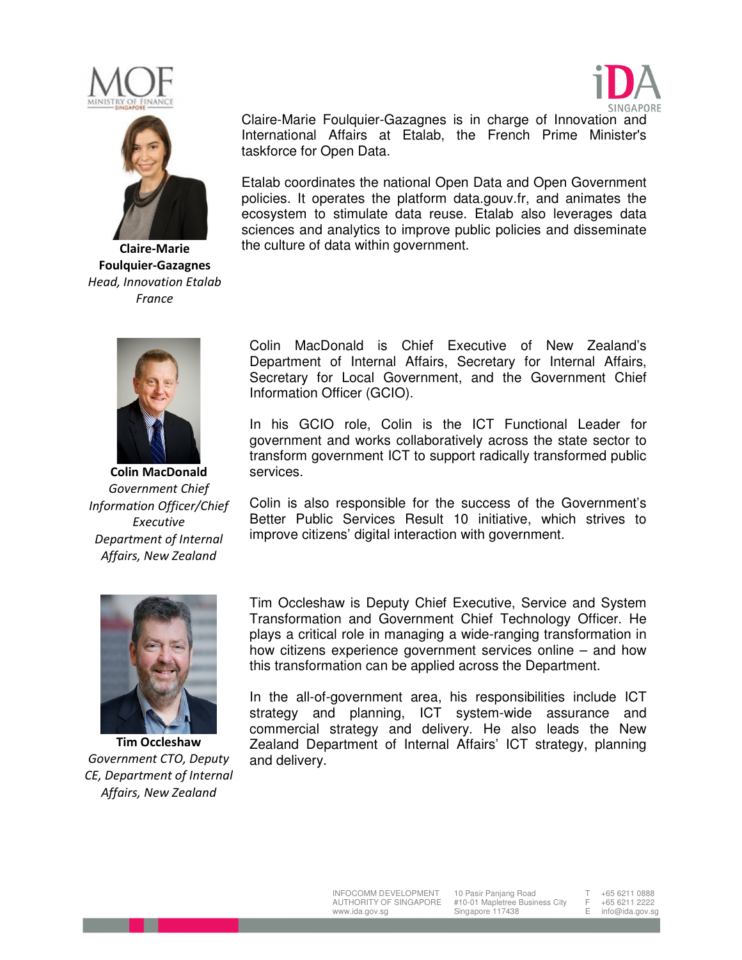





**Claire-Marie Foulquier-Gazagnes** *Head, Innovation Etalab France*



**Colin MacDonald**  *Government Chief Information Officer/Chief Executive Department of Internal Affairs, New Zealand*

Claire-Marie Foulquier-Gazagnes is in charge of Innovation and International Affairs at Etalab, the French Prime Minister's taskforce for Open Data.

Etalab coordinates the national Open Data and Open Government policies. It operates the platform data.gouv.fr, and animates the ecosystem to stimulate data reuse. Etalab also leverages data sciences and analytics to improve public policies and disseminate the culture of data within government.

Colin MacDonald is Chief Executive of New Zealand's Department of Internal Affairs, Secretary for Internal Affairs, Secretary for Local Government, and the Government Chief Information Officer (GCIO).

In his GCIO role, Colin is the ICT Functional Leader for government and works collaboratively across the state sector to transform government ICT to support radically transformed public services.

Colin is also responsible for the success of the Government's Better Public Services Result 10 initiative, which strives to improve citizens' digital interaction with government.



**Tim Occleshaw**  *Government CTO, Deputy CE, Department of Internal Affairs, New Zealand*

Tim Occleshaw is Deputy Chief Executive, Service and System Transformation and Government Chief Technology Officer. He plays a critical role in managing a wide-ranging transformation in how citizens experience government services online – and how this transformation can be applied across the Department.

In the all-of-government area, his responsibilities include ICT strategy and planning, ICT system-wide assurance and commercial strategy and delivery. He also leads the New Zealand Department of Internal Affairs' ICT strategy, planning and delivery.

+65 6211 0888  $F + 65 6211 2222$ <br> $F \t{info@ids ~20}$ info@ida.gov.so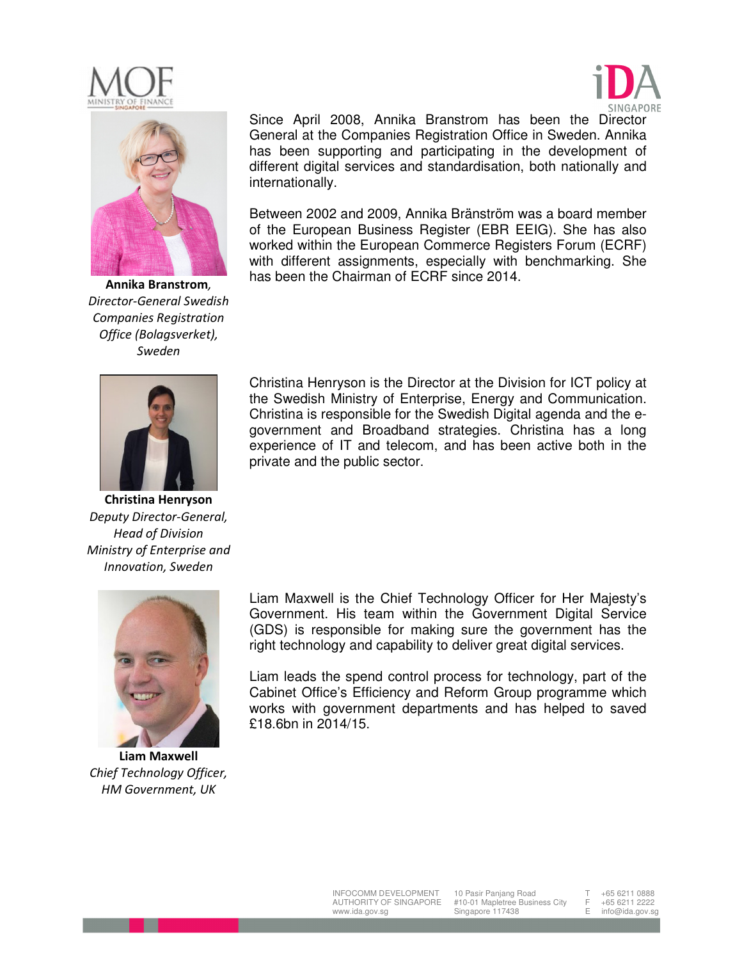





**Annika Branstrom***, Director-General Swedish Companies Registration Office (Bolagsverket), Sweden*

Since April 2008, Annika Branstrom has been the Director General at the Companies Registration Office in Sweden. Annika has been supporting and participating in the development of different digital services and standardisation, both nationally and internationally.

Between 2002 and 2009, Annika Bränström was a board member of the European Business Register (EBR EEIG). She has also worked within the European Commerce Registers Forum (ECRF) with different assignments, especially with benchmarking. She has been the Chairman of ECRF since 2014.



**Christina Henryson**  *Deputy Director-General, Head of Division Ministry of Enterprise and Innovation, Sweden* 

**Liam Maxwell** *Chief Technology Officer, HM Government, UK*

Christina Henryson is the Director at the Division for ICT policy at the Swedish Ministry of Enterprise, Energy and Communication. Christina is responsible for the Swedish Digital agenda and the egovernment and Broadband strategies. Christina has a long experience of IT and telecom, and has been active both in the private and the public sector.

Liam Maxwell is the Chief Technology Officer for Her Majesty's Government. His team within the Government Digital Service (GDS) is responsible for making sure the government has the right technology and capability to deliver great digital services.

Liam leads the spend control process for technology, part of the Cabinet Office's Efficiency and Reform Group programme which works with government departments and has helped to saved £18.6bn in 2014/15.

+65 6211 0888

 $F + 65 6211 2222$ <br> $F \t{info@ids goyg}$ info@ida.gov.so